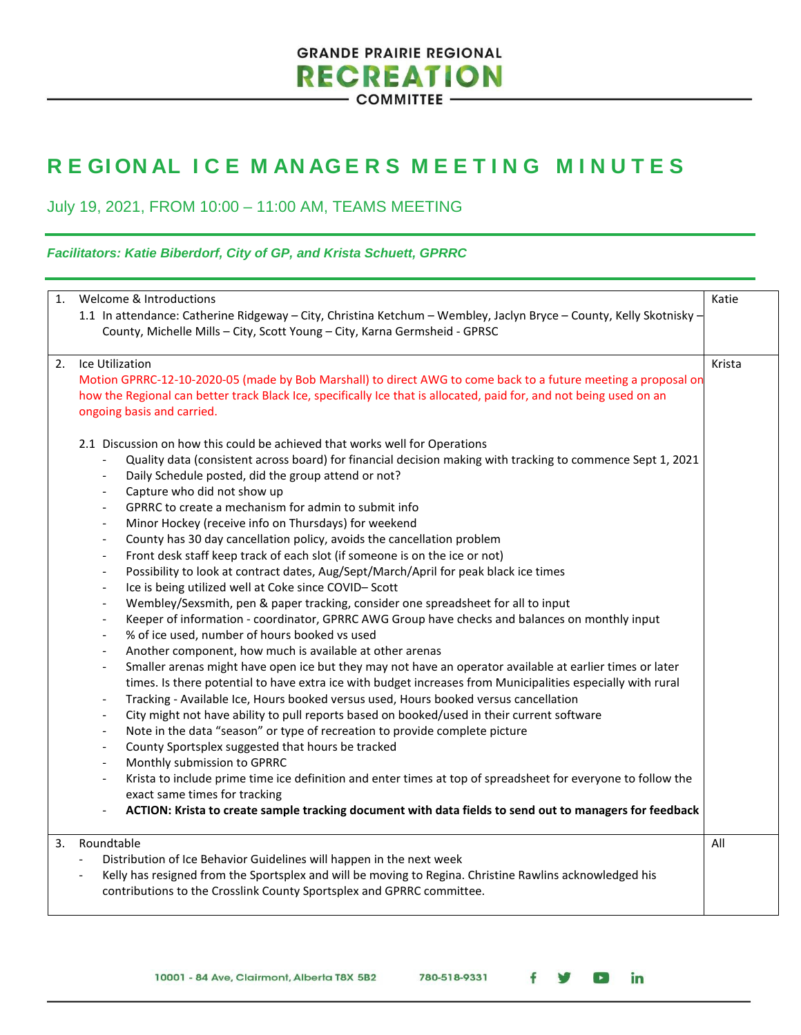# **GRANDE PRAIRIE REGIONAL RECREATION**

- COMMITTEE -

## **R E GI ON AL I C E M AN AG E R S MEETING MINUTES**

July 19, 2021, FROM 10:00 – 11:00 AM, TEAMS MEETING

### *Facilitators: Katie Biberdorf, City of GP, and Krista Schuett, GPRRC*

| 1. | Welcome & Introductions                                                                                                                                                  | Katie  |
|----|--------------------------------------------------------------------------------------------------------------------------------------------------------------------------|--------|
|    | 1.1 In attendance: Catherine Ridgeway - City, Christina Ketchum - Wembley, Jaclyn Bryce - County, Kelly Skotnisky -                                                      |        |
|    | County, Michelle Mills - City, Scott Young - City, Karna Germsheid - GPRSC                                                                                               |        |
| 2. | Ice Utilization                                                                                                                                                          | Krista |
|    | Motion GPRRC-12-10-2020-05 (made by Bob Marshall) to direct AWG to come back to a future meeting a proposal on                                                           |        |
|    | how the Regional can better track Black Ice, specifically Ice that is allocated, paid for, and not being used on an<br>ongoing basis and carried.                        |        |
|    | 2.1 Discussion on how this could be achieved that works well for Operations                                                                                              |        |
|    | Quality data (consistent across board) for financial decision making with tracking to commence Sept 1, 2021                                                              |        |
|    | Daily Schedule posted, did the group attend or not?<br>$\overline{\phantom{a}}$                                                                                          |        |
|    | Capture who did not show up<br>$\overline{\phantom{a}}$                                                                                                                  |        |
|    | GPRRC to create a mechanism for admin to submit info<br>$\overline{\phantom{a}}$                                                                                         |        |
|    | Minor Hockey (receive info on Thursdays) for weekend<br>$\overline{\phantom{a}}$                                                                                         |        |
|    | County has 30 day cancellation policy, avoids the cancellation problem<br>$\overline{\phantom{a}}$                                                                       |        |
|    | Front desk staff keep track of each slot (if someone is on the ice or not)<br>$\overline{\phantom{a}}$                                                                   |        |
|    | Possibility to look at contract dates, Aug/Sept/March/April for peak black ice times<br>$\overline{\phantom{a}}$<br>Ice is being utilized well at Coke since COVID-Scott |        |
|    | $\overline{\phantom{a}}$<br>Wembley/Sexsmith, pen & paper tracking, consider one spreadsheet for all to input<br>$\overline{\phantom{a}}$                                |        |
|    | Keeper of information - coordinator, GPRRC AWG Group have checks and balances on monthly input<br>$\overline{\phantom{a}}$                                               |        |
|    | % of ice used, number of hours booked vs used<br>$\overline{\phantom{a}}$                                                                                                |        |
|    | Another component, how much is available at other arenas<br>$\overline{\phantom{a}}$                                                                                     |        |
|    | Smaller arenas might have open ice but they may not have an operator available at earlier times or later<br>$\overline{\phantom{a}}$                                     |        |
|    | times. Is there potential to have extra ice with budget increases from Municipalities especially with rural                                                              |        |
|    | Tracking - Available Ice, Hours booked versus used, Hours booked versus cancellation<br>$\overline{\phantom{a}}$                                                         |        |
|    | City might not have ability to pull reports based on booked/used in their current software<br>$\overline{\phantom{a}}$                                                   |        |
|    | Note in the data "season" or type of recreation to provide complete picture                                                                                              |        |
|    | County Sportsplex suggested that hours be tracked<br>$\overline{\phantom{a}}$                                                                                            |        |
|    | Monthly submission to GPRRC                                                                                                                                              |        |
|    | Krista to include prime time ice definition and enter times at top of spreadsheet for everyone to follow the<br>exact same times for tracking                            |        |
|    | ACTION: Krista to create sample tracking document with data fields to send out to managers for feedback                                                                  |        |
|    |                                                                                                                                                                          |        |
| 3. | Roundtable                                                                                                                                                               | All    |
|    | Distribution of Ice Behavior Guidelines will happen in the next week<br>$\overline{\phantom{a}}$                                                                         |        |
|    | Kelly has resigned from the Sportsplex and will be moving to Regina. Christine Rawlins acknowledged his<br>$\blacksquare$                                                |        |
|    | contributions to the Crosslink County Sportsplex and GPRRC committee.                                                                                                    |        |
|    |                                                                                                                                                                          |        |

780-518-9331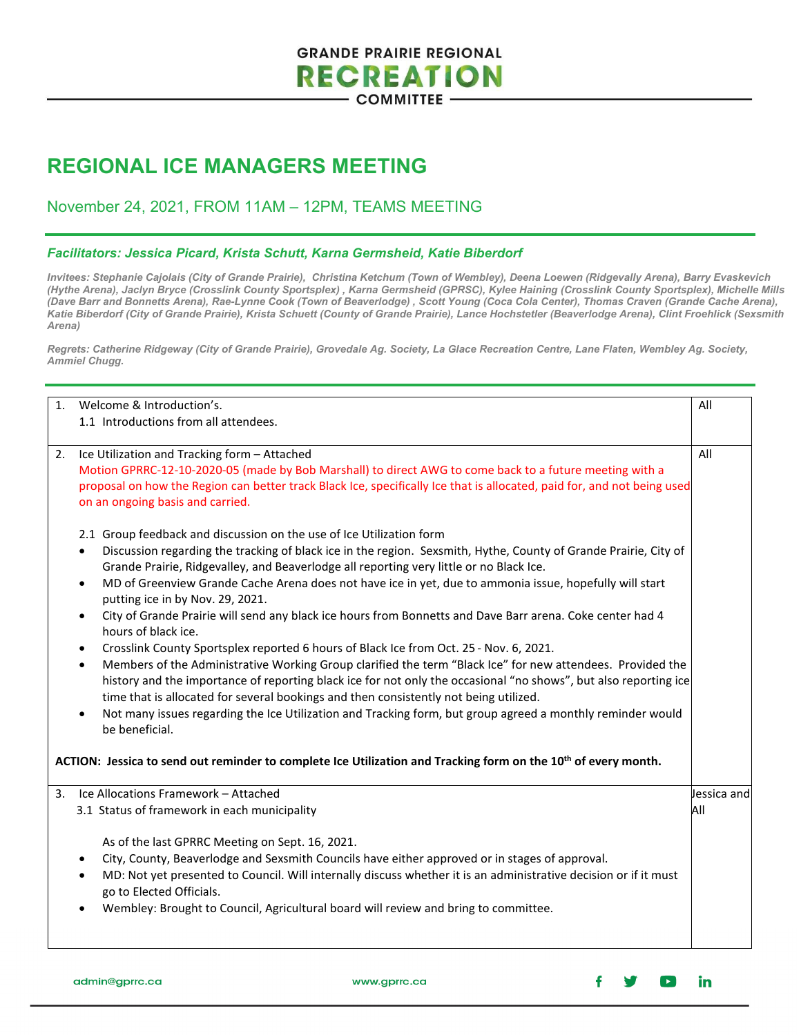### **GRANDE PRAIRIE REGIONAL RECREATION COMMITTEE**

## **REGIONAL ICE MANAGERS MEETING**

### November 24, 2021, FROM 11AM – 12PM, TEAMS MEETING

#### *Facilitators: Jessica Picard, Krista Schutt, Karna Germsheid, Katie Biberdorf*

*Invitees: Stephanie Cajolais (City of Grande Prairie), Christina Ketchum (Town of Wembley), Deena Loewen (Ridgevally Arena), Barry Evaskevich (Hythe Arena), Jaclyn Bryce (Crosslink County Sportsplex) , Karna Germsheid (GPRSC), Kylee Haining (Crosslink County Sportsplex), Michelle Mills (Dave Barr and Bonnetts Arena), Rae-Lynne Cook (Town of Beaverlodge) , Scott Young (Coca Cola Center), Thomas Craven (Grande Cache Arena), Katie Biberdorf (City of Grande Prairie), Krista Schuett (County of Grande Prairie), Lance Hochstetler (Beaverlodge Arena), Clint Froehlick (Sexsmith Arena)*

*Regrets: Catherine Ridgeway (City of Grande Prairie), Grovedale Ag. Society, La Glace Recreation Centre, Lane Flaten, Wembley Ag. Society, Ammiel Chugg.* 

| 1 <sub>1</sub>                                                                                                             | Welcome & Introduction's.<br>1.1 Introductions from all attendees.                                                                                                                                                                                                                                                                                                                                                                                           | All                |
|----------------------------------------------------------------------------------------------------------------------------|--------------------------------------------------------------------------------------------------------------------------------------------------------------------------------------------------------------------------------------------------------------------------------------------------------------------------------------------------------------------------------------------------------------------------------------------------------------|--------------------|
| 2.                                                                                                                         | Ice Utilization and Tracking form - Attached<br>Motion GPRRC-12-10-2020-05 (made by Bob Marshall) to direct AWG to come back to a future meeting with a<br>proposal on how the Region can better track Black Ice, specifically Ice that is allocated, paid for, and not being used<br>on an ongoing basis and carried.                                                                                                                                       | All                |
|                                                                                                                            | 2.1 Group feedback and discussion on the use of Ice Utilization form<br>Discussion regarding the tracking of black ice in the region. Sexsmith, Hythe, County of Grande Prairie, City of<br>$\bullet$<br>Grande Prairie, Ridgevalley, and Beaverlodge all reporting very little or no Black Ice.<br>MD of Greenview Grande Cache Arena does not have ice in yet, due to ammonia issue, hopefully will start<br>$\bullet$<br>putting ice in by Nov. 29, 2021. |                    |
|                                                                                                                            | City of Grande Prairie will send any black ice hours from Bonnetts and Dave Barr arena. Coke center had 4<br>$\bullet$<br>hours of black ice.<br>Crosslink County Sportsplex reported 6 hours of Black Ice from Oct. 25 - Nov. 6, 2021.<br>$\bullet$<br>Members of the Administrative Working Group clarified the term "Black Ice" for new attendees. Provided the<br>$\bullet$                                                                              |                    |
|                                                                                                                            | history and the importance of reporting black ice for not only the occasional "no shows", but also reporting ice<br>time that is allocated for several bookings and then consistently not being utilized.<br>Not many issues regarding the Ice Utilization and Tracking form, but group agreed a monthly reminder would<br>be beneficial.                                                                                                                    |                    |
| ACTION: Jessica to send out reminder to complete Ice Utilization and Tracking form on the 10 <sup>th</sup> of every month. |                                                                                                                                                                                                                                                                                                                                                                                                                                                              |                    |
| 3 <sub>1</sub>                                                                                                             | Ice Allocations Framework - Attached<br>3.1 Status of framework in each municipality                                                                                                                                                                                                                                                                                                                                                                         | Jessica and<br>All |
|                                                                                                                            | As of the last GPRRC Meeting on Sept. 16, 2021.<br>City, County, Beaverlodge and Sexsmith Councils have either approved or in stages of approval.<br>$\bullet$<br>MD: Not yet presented to Council. Will internally discuss whether it is an administrative decision or if it must<br>$\bullet$<br>go to Elected Officials.<br>Wembley: Brought to Council, Agricultural board will review and bring to committee.                                           |                    |

www.gprrc.ca

in. w  $\rightarrow$ 

f